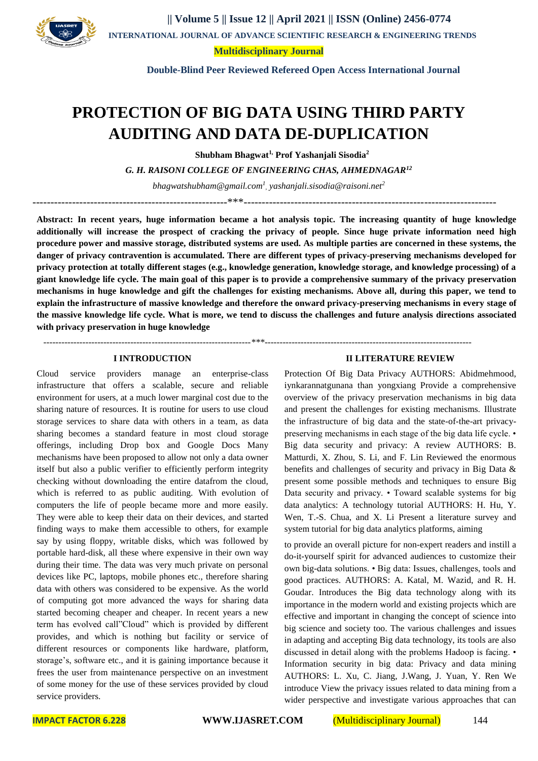

**|| Volume 5 || Issue 12 || April 2021 || ISSN (Online) 2456-0774 INTERNATIONAL JOURNAL OF ADVANCE SCIENTIFIC RESEARCH & ENGINEERING TRENDS**

**[Multidisciplinary Journal](https://www.bing.com/aclick?ld=e8fZ6gfADYSe8i_D94uq9SfDVUCUx3gx-AoAB2U9E-MuewmW5ONwuHlqiTpJMhvhixlRNilUbm9ryOpfulQIJkgTP2zubal72CMkXVfgey7m9pUoiqvbyWwY_TcM7seiLGa7GADofy1vWnTCbhxQUa9YBp22qRQf5J88dRw2lv8Kfl4F9t&u=aHR0cHMlM2ElMmYlMmZpbi5zZWVrd2ViLmNvbSUyZndzJTNmcSUzZG11bHRpZGlzY2lwbGluYXJ5JTI1MjBqb3VybmFsJTI2YXNpZCUzZHN3X2luX2JhXzAyJTI2ZGUlM2RjJTI2YWMlM2QxMjczNyUyNmNpZCUzZDQwNzE0NDA1OCUyNmFpZCUzZDEzNTc4OTczODU2NDIwODklMjZraWQlM2Rrd2QtODQ4Njg4NzQ1ODA0MjYlM2Fsb2MtOTAlMjZsb2NhbGUlM2Rlbl9JTiUyNm1zY2xraWQlM2RjYTI3NGM4YzYzNjMxNTI2NDkxZDEzNGJiZTQ1NDcyNA&rlid=ca274c8c63631526491d134bbe454724)**

 **Double-Blind Peer Reviewed Refereed Open Access International Journal**

# **PROTECTION OF BIG DATA USING THIRD PARTY AUDITING AND DATA DE-DUPLICATION**

**Shubham Bhagwat1, Prof Yashanjali Sisodia<sup>2</sup>**

*G. H. RAISONI COLLEGE OF ENGINEERING CHAS, AHMEDNAGAR<sup>12</sup>*

*bhagwatshubham@gmail.com<sup>1</sup> , yashanjali.sisodia@raisoni.net<sup>2</sup>*

------------------------------------------------------\*\*\*----------------------------------------------------------------------

 *---------------------------------------------------------------------\*\*\*---------------------------------------------------------------------*

**Abstract: In recent years, huge information became a hot analysis topic. The increasing quantity of huge knowledge additionally will increase the prospect of cracking the privacy of people. Since huge private information need high procedure power and massive storage, distributed systems are used. As multiple parties are concerned in these systems, the danger of privacy contravention is accumulated. There are different types of privacy-preserving mechanisms developed for privacy protection at totally different stages (e.g., knowledge generation, knowledge storage, and knowledge processing) of a giant knowledge life cycle. The main goal of this paper is to provide a comprehensive summary of the privacy preservation mechanisms in huge knowledge and gift the challenges for existing mechanisms. Above all, during this paper, we tend to explain the infrastructure of massive knowledge and therefore the onward privacy-preserving mechanisms in every stage of the massive knowledge life cycle. What is more, we tend to discuss the challenges and future analysis directions associated with privacy preservation in huge knowledge**

#### **I INTRODUCTION**

Cloud service providers manage an enterprise-class infrastructure that offers a scalable, secure and reliable environment for users, at a much lower marginal cost due to the sharing nature of resources. It is routine for users to use cloud storage services to share data with others in a team, as data sharing becomes a standard feature in most cloud storage offerings, including Drop box and Google Docs Many mechanisms have been proposed to allow not only a data owner itself but also a public verifier to efficiently perform integrity checking without downloading the entire datafrom the cloud, which is referred to as public auditing. With evolution of computers the life of people became more and more easily. They were able to keep their data on their devices, and started finding ways to make them accessible to others, for example say by using floppy, writable disks, which was followed by portable hard-disk, all these where expensive in their own way during their time. The data was very much private on personal devices like PC, laptops, mobile phones etc., therefore sharing data with others was considered to be expensive. As the world of computing got more advanced the ways for sharing data started becoming cheaper and cheaper. In recent years a new term has evolved call"Cloud" which is provided by different provides, and which is nothing but facility or service of different resources or components like hardware, platform, storage's, software etc., and it is gaining importance because it frees the user from maintenance perspective on an investment of some money for the use of these services provided by cloud service providers.

#### **II LITERATURE REVIEW**

Protection Of Big Data Privacy AUTHORS: Abidmehmood, iynkarannatgunana than yongxiang Provide a comprehensive overview of the privacy preservation mechanisms in big data and present the challenges for existing mechanisms. Illustrate the infrastructure of big data and the state-of-the-art privacypreserving mechanisms in each stage of the big data life cycle. • Big data security and privacy: A review AUTHORS: B. Matturdi, X. Zhou, S. Li, and F. Lin Reviewed the enormous benefits and challenges of security and privacy in Big Data & present some possible methods and techniques to ensure Big Data security and privacy. • Toward scalable systems for big data analytics: A technology tutorial AUTHORS: H. Hu, Y. Wen, T.-S. Chua, and X. Li Present a literature survey and system tutorial for big data analytics platforms, aiming

to provide an overall picture for non-expert readers and instill a do-it-yourself spirit for advanced audiences to customize their own big-data solutions. • Big data: Issues, challenges, tools and good practices. AUTHORS: A. Katal, M. Wazid, and R. H. Goudar. Introduces the Big data technology along with its importance in the modern world and existing projects which are effective and important in changing the concept of science into big science and society too. The various challenges and issues in adapting and accepting Big data technology, its tools are also discussed in detail along with the problems Hadoop is facing. • Information security in big data: Privacy and data mining AUTHORS: L. Xu, C. Jiang, J.Wang, J. Yuan, Y. Ren We introduce View the privacy issues related to data mining from a wider perspective and investigate various approaches that can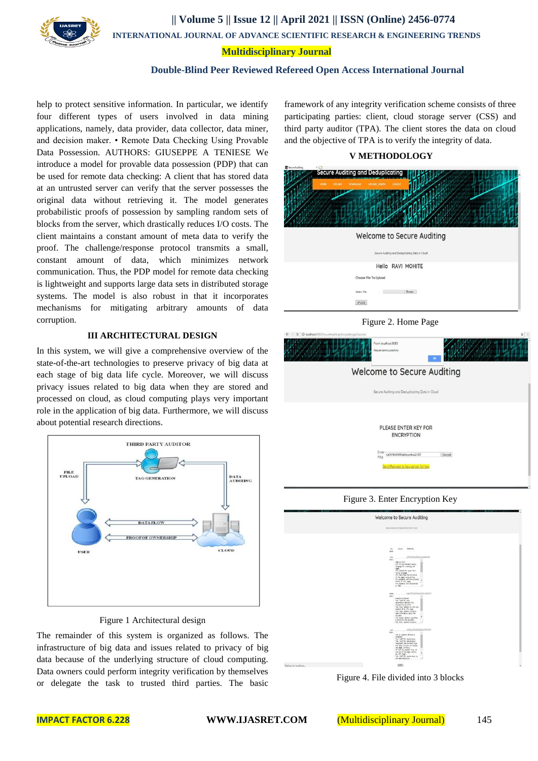

**|| Volume 5 || Issue 12 || April 2021 || ISSN (Online) 2456-0774**

 **INTERNATIONAL JOURNAL OF ADVANCE SCIENTIFIC RESEARCH & ENGINEERING TRENDS**

### **[Multidisciplinary Journal](https://www.bing.com/aclick?ld=e8fZ6gfADYSe8i_D94uq9SfDVUCUx3gx-AoAB2U9E-MuewmW5ONwuHlqiTpJMhvhixlRNilUbm9ryOpfulQIJkgTP2zubal72CMkXVfgey7m9pUoiqvbyWwY_TcM7seiLGa7GADofy1vWnTCbhxQUa9YBp22qRQf5J88dRw2lv8Kfl4F9t&u=aHR0cHMlM2ElMmYlMmZpbi5zZWVrd2ViLmNvbSUyZndzJTNmcSUzZG11bHRpZGlzY2lwbGluYXJ5JTI1MjBqb3VybmFsJTI2YXNpZCUzZHN3X2luX2JhXzAyJTI2ZGUlM2RjJTI2YWMlM2QxMjczNyUyNmNpZCUzZDQwNzE0NDA1OCUyNmFpZCUzZDEzNTc4OTczODU2NDIwODklMjZraWQlM2Rrd2QtODQ4Njg4NzQ1ODA0MjYlM2Fsb2MtOTAlMjZsb2NhbGUlM2Rlbl9JTiUyNm1zY2xraWQlM2RjYTI3NGM4YzYzNjMxNTI2NDkxZDEzNGJiZTQ1NDcyNA&rlid=ca274c8c63631526491d134bbe454724)**

## **Double-Blind Peer Reviewed Refereed Open Access International Journal**

help to protect sensitive information. In particular, we identify four different types of users involved in data mining applications, namely, data provider, data collector, data miner, and decision maker. • Remote Data Checking Using Provable Data Possession. AUTHORS: GIUSEPPE A TENIESE We introduce a model for provable data possession (PDP) that can be used for remote data checking: A client that has stored data at an untrusted server can verify that the server possesses the original data without retrieving it. The model generates probabilistic proofs of possession by sampling random sets of blocks from the server, which drastically reduces I/O costs. The client maintains a constant amount of meta data to verify the proof. The challenge/response protocol transmits a small, constant amount of data, which minimizes network communication. Thus, the PDP model for remote data checking is lightweight and supports large data sets in distributed storage systems. The model is also robust in that it incorporates mechanisms for mitigating arbitrary amounts of data corruption.

# **III ARCHITECTURAL DESIGN**

In this system, we will give a comprehensive overview of the state-of-the-art technologies to preserve privacy of big data at each stage of big data life cycle. Moreover, we will discuss privacy issues related to big data when they are stored and processed on cloud, as cloud computing plays very important role in the application of big data. Furthermore, we will discuss about potential research directions.



## Figure 1 Architectural design

The remainder of this system is organized as follows. The infrastructure of big data and issues related to privacy of big data because of the underlying structure of cloud computing. Data owners could perform integrity verification by themselves or delegate the task to trusted third parties. The basic

framework of any integrity verification scheme consists of three participating parties: client, cloud storage server (CSS) and third party auditor (TPA). The client stores the data on cloud and the objective of TPA is to verify the integrity of data.

## **V METHODOLOGY**

| ч<br><b>Secure Auditing and Deduplicating</b><br>HOME<br><b>DOWNLOAD</b><br>UPLOAD GRAPH<br><b>UPLOAD</b> | LOGOUT                                          |
|-----------------------------------------------------------------------------------------------------------|-------------------------------------------------|
|                                                                                                           |                                                 |
|                                                                                                           | Welcome to Secure Auditing                      |
|                                                                                                           | Secure Auditing and Deduplicating Data in Cloud |
|                                                                                                           | Hello RAVI MOHITE                               |
| Choose File To Upload                                                                                     |                                                 |
| Select File                                                                                               | Browse.                                         |
| UPLOAD                                                                                                    |                                                 |
|                                                                                                           | $\Gamma_{\text{out}} \cap \Gamma_{\text{out}}$  |

#### Figure 2. Home Page



#### Figure 3. Enter Encryption Key



Figure 4. File divided into 3 blocks